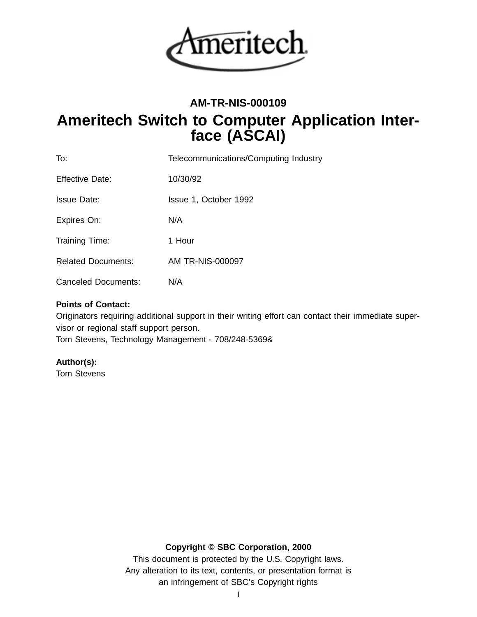

# **AM-TR-NIS-000109 Ameritech Switch to Computer Application Interface (ASCAI)**

| To:                       | Telecommunications/Computing Industry |
|---------------------------|---------------------------------------|
| <b>Effective Date:</b>    | 10/30/92                              |
| <b>Issue Date:</b>        | Issue 1, October 1992                 |
| Expires On:               | N/A                                   |
| Training Time:            | 1 Hour                                |
| <b>Related Documents:</b> | AM TR-NIS-000097                      |
| Canceled Documents:       | N/A                                   |

# **Points of Contact:**

Originators requiring additional support in their writing effort can contact their immediate supervisor or regional staff support person.

Tom Stevens, Technology Management - 708/248-5369&

# **Author(s):**

Tom Stevens

**Copyright © SBC Corporation, 2000**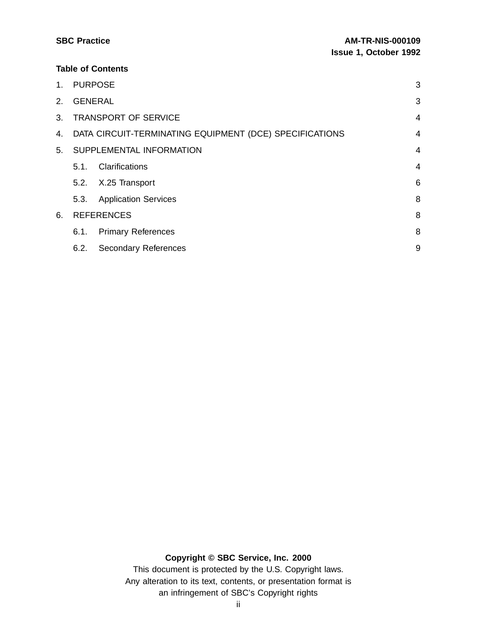| <b>SBC Practice</b> |  |
|---------------------|--|
|---------------------|--|

#### **Table of Contents**

| 1. | <b>PURPOSE</b>                                          |                             |                |  |  |
|----|---------------------------------------------------------|-----------------------------|----------------|--|--|
| 2. | <b>GENERAL</b>                                          |                             |                |  |  |
| 3. | <b>TRANSPORT OF SERVICE</b>                             |                             |                |  |  |
| 4. | DATA CIRCUIT-TERMINATING EQUIPMENT (DCE) SPECIFICATIONS |                             |                |  |  |
| 5. | SUPPLEMENTAL INFORMATION                                |                             |                |  |  |
|    | 5.1.                                                    | Clarifications              | $\overline{4}$ |  |  |
|    | 5.2.                                                    | X.25 Transport              | 6              |  |  |
|    | 5.3.                                                    | <b>Application Services</b> | 8              |  |  |
| 6. | <b>REFERENCES</b>                                       |                             | 8              |  |  |
|    | 6.1.                                                    | <b>Primary References</b>   | 8              |  |  |
|    | 6.2.                                                    | <b>Secondary References</b> | 9              |  |  |

# **Copyright © SBC Service, Inc. 2000**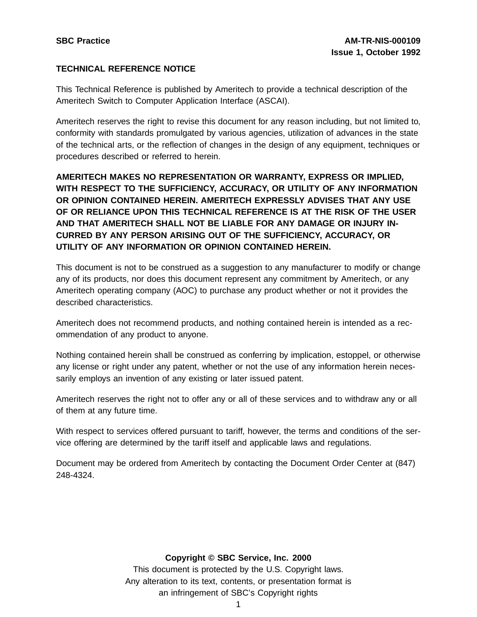### **TECHNICAL REFERENCE NOTICE**

This Technical Reference is published by Ameritech to provide a technical description of the Ameritech Switch to Computer Application Interface (ASCAI).

Ameritech reserves the right to revise this document for any reason including, but not limited to, conformity with standards promulgated by various agencies, utilization of advances in the state of the technical arts, or the reflection of changes in the design of any equipment, techniques or procedures described or referred to herein.

**AMERITECH MAKES NO REPRESENTATION OR WARRANTY, EXPRESS OR IMPLIED, WITH RESPECT TO THE SUFFICIENCY, ACCURACY, OR UTILITY OF ANY INFORMATION OR OPINION CONTAINED HEREIN. AMERITECH EXPRESSLY ADVISES THAT ANY USE OF OR RELIANCE UPON THIS TECHNICAL REFERENCE IS AT THE RISK OF THE USER AND THAT AMERITECH SHALL NOT BE LIABLE FOR ANY DAMAGE OR INJURY IN-CURRED BY ANY PERSON ARISING OUT OF THE SUFFICIENCY, ACCURACY, OR UTILITY OF ANY INFORMATION OR OPINION CONTAINED HEREIN.**

This document is not to be construed as a suggestion to any manufacturer to modify or change any of its products, nor does this document represent any commitment by Ameritech, or any Ameritech operating company (AOC) to purchase any product whether or not it provides the described characteristics.

Ameritech does not recommend products, and nothing contained herein is intended as a recommendation of any product to anyone.

Nothing contained herein shall be construed as conferring by implication, estoppel, or otherwise any license or right under any patent, whether or not the use of any information herein necessarily employs an invention of any existing or later issued patent.

Ameritech reserves the right not to offer any or all of these services and to withdraw any or all of them at any future time.

With respect to services offered pursuant to tariff, however, the terms and conditions of the service offering are determined by the tariff itself and applicable laws and regulations.

Document may be ordered from Ameritech by contacting the Document Order Center at (847) 248-4324.

#### **Copyright © SBC Service, Inc. 2000**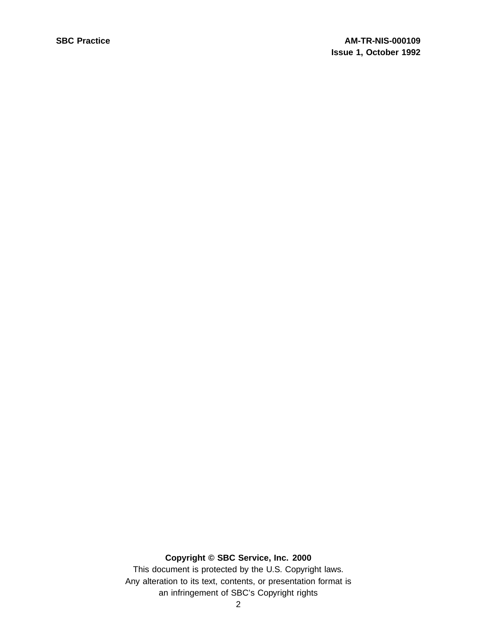# **Copyright © SBC Service, Inc. 2000**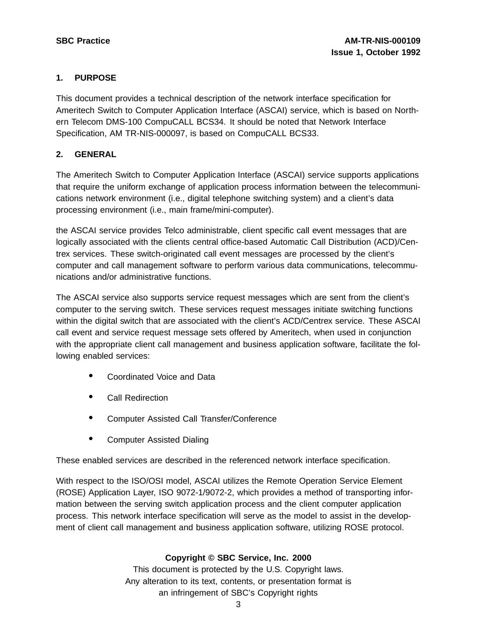## **1. PURPOSE**

This document provides a technical description of the network interface specification for Ameritech Switch to Computer Application Interface (ASCAI) service, which is based on Northern Telecom DMS-100 CompuCALL BCS34. It should be noted that Network Interface Specification, AM TR-NIS-000097, is based on CompuCALL BCS33.

### **2. GENERAL**

The Ameritech Switch to Computer Application Interface (ASCAI) service supports applications that require the uniform exchange of application process information between the telecommunications network environment (i.e., digital telephone switching system) and a client's data processing environment (i.e., main frame/mini-computer).

the ASCAI service provides Telco administrable, client specific call event messages that are logically associated with the clients central office-based Automatic Call Distribution (ACD)/Centrex services. These switch-originated call event messages are processed by the client's computer and call management software to perform various data communications, telecommunications and/or administrative functions.

The ASCAI service also supports service request messages which are sent from the client's computer to the serving switch. These services request messages initiate switching functions within the digital switch that are associated with the client's ACD/Centrex service. These ASCAI call event and service request message sets offered by Ameritech, when used in conjunction with the appropriate client call management and business application software, facilitate the following enabled services:

- Coordinated Voice and Data
- Call Redirection
- Computer Assisted Call Transfer/Conference
- Computer Assisted Dialing

These enabled services are described in the referenced network interface specification.

With respect to the ISO/OSI model, ASCAI utilizes the Remote Operation Service Element (ROSE) Application Layer, ISO 9072-1/9072-2, which provides a method of transporting information between the serving switch application process and the client computer application process. This network interface specification will serve as the model to assist in the development of client call management and business application software, utilizing ROSE protocol.

# **Copyright © SBC Service, Inc. 2000**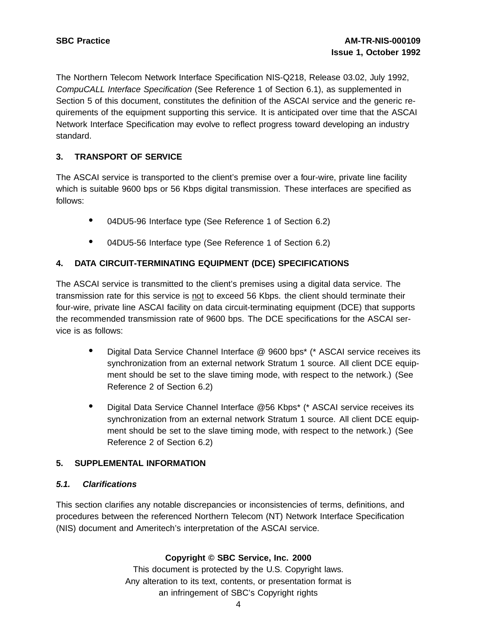The Northern Telecom Network Interface Specification NIS-Q218, Release 03.02, July 1992, CompuCALL Interface Specification (See Reference 1 of Section 6.1), as supplemented in Section 5 of this document, constitutes the definition of the ASCAI service and the generic requirements of the equipment supporting this service. It is anticipated over time that the ASCAI Network Interface Specification may evolve to reflect progress toward developing an industry standard.

# **3. TRANSPORT OF SERVICE**

The ASCAI service is transported to the client's premise over a four-wire, private line facility which is suitable 9600 bps or 56 Kbps digital transmission. These interfaces are specified as follows:

- 04DU5-96 Interface type (See Reference <sup>1</sup> of Section 6.2)
- 04DU5-56 Interface type (See Reference <sup>1</sup> of Section 6.2)

# **4. DATA CIRCUIT-TERMINATING EQUIPMENT (DCE) SPECIFICATIONS**

The ASCAI service is transmitted to the client's premises using a digital data service. The transmission rate for this service is not to exceed 56 Kbps. the client should terminate their four-wire, private line ASCAI facility on data circuit-terminating equipment (DCE) that supports the recommended transmission rate of 9600 bps. The DCE specifications for the ASCAI service is as follows:

- Digital Data Service Channel Interface @ <sup>9600</sup> bps\* (\* ASCAI service receives its synchronization from an external network Stratum 1 source. All client DCE equipment should be set to the slave timing mode, with respect to the network.) (See Reference 2 of Section 6.2)
- Digital Data Service Channel Interface @56 Kbps\* (\* ASCAI service receives its synchronization from an external network Stratum 1 source. All client DCE equipment should be set to the slave timing mode, with respect to the network.) (See Reference 2 of Section 6.2)

# **5. SUPPLEMENTAL INFORMATION**

#### **5.1. Clarifications**

This section clarifies any notable discrepancies or inconsistencies of terms, definitions, and procedures between the referenced Northern Telecom (NT) Network Interface Specification (NIS) document and Ameritech's interpretation of the ASCAI service.

# **Copyright © SBC Service, Inc. 2000**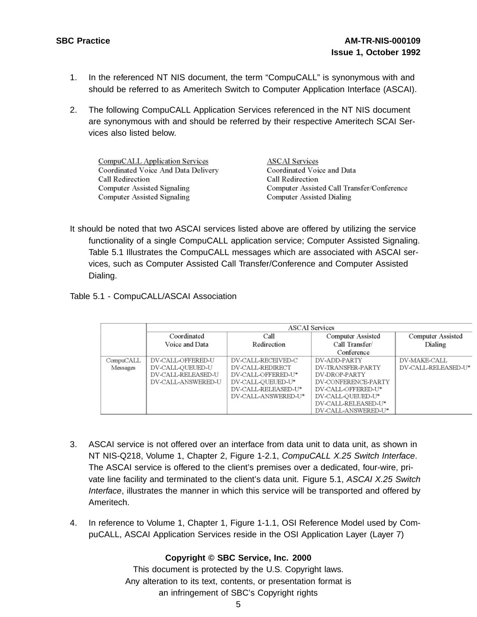- 1. In the referenced NT NIS document, the term "CompuCALL" is synonymous with and should be referred to as Ameritech Switch to Computer Application Interface (ASCAI).
- 2. The following CompuCALL Application Services referenced in the NT NIS document are synonymous with and should be referred by their respective Ameritech SCAI Services also listed below.

CompuCALL Application Services Coordinated Voice And Data Delivery Call Redirection Computer Assisted Signaling Computer Assisted Signaling

**ASCAI Services** Coordinated Voice and Data Call Redirection Computer Assisted Call Transfer/Conference Computer Assisted Dialing

It should be noted that two ASCAI services listed above are offered by utilizing the service functionality of a single CompuCALL application service; Computer Assisted Signaling. Table 5.1 Illustrates the CompuCALL messages which are associated with ASCAI services, such as Computer Assisted Call Transfer/Conference and Computer Assisted Dialing.

Table 5.1 - CompuCALL/ASCAI Association

|           | <b>ASCAI Services</b> |                     |                     |                     |  |  |
|-----------|-----------------------|---------------------|---------------------|---------------------|--|--|
|           | Coordinated           | Call                | Computer Assisted   | Computer Assisted   |  |  |
|           | Voice and Data        | Redirection         | Call Transfer/      | Dialing             |  |  |
|           |                       |                     | Conference          |                     |  |  |
| CompuCALL | DV-CALL-OFFERED-U     | DV-CALL-RECEIVED-C  | DV-ADD-PARTY        | DV-MAKE-CALL        |  |  |
| Messages  | DV-CALL-OUEUED-U      | DV-CALL-REDIRECT    | DV-TRANSFER-PARTY   | DV-CALL-RELEASED-U* |  |  |
|           | DV-CALL-RELEASED-U    | DV-CALL-OFFERED-U*  | DV-DROP-PARTY       |                     |  |  |
|           | DV-CALL-ANSWERED-U    | DV-CALL-QUEUED-U*   | DV-CONFERENCE-PARTY |                     |  |  |
|           |                       | DV-CALL-RELEASED-U* | DV-CALL-OFFERED-U*  |                     |  |  |
|           |                       | DV-CALL-ANSWERED-U* | DV-CALL-QUEUED-U*   |                     |  |  |
|           |                       |                     | DV-CALL-RELEASED-U* |                     |  |  |
|           |                       |                     | DV-CALL-ANSWERED-U* |                     |  |  |

- 3. ASCAI service is not offered over an interface from data unit to data unit, as shown in NT NIS-Q218, Volume 1, Chapter 2, Figure 1-2.1, CompuCALL X.25 Switch Interface. The ASCAI service is offered to the client's premises over a dedicated, four-wire, private line facility and terminated to the client's data unit. Figure 5.1, ASCAI X.25 Switch Interface, illustrates the manner in which this service will be transported and offered by Ameritech.
- 4. In reference to Volume 1, Chapter 1, Figure 1-1.1, OSI Reference Model used by CompuCALL, ASCAI Application Services reside in the OSI Application Layer (Layer 7)

# **Copyright © SBC Service, Inc. 2000**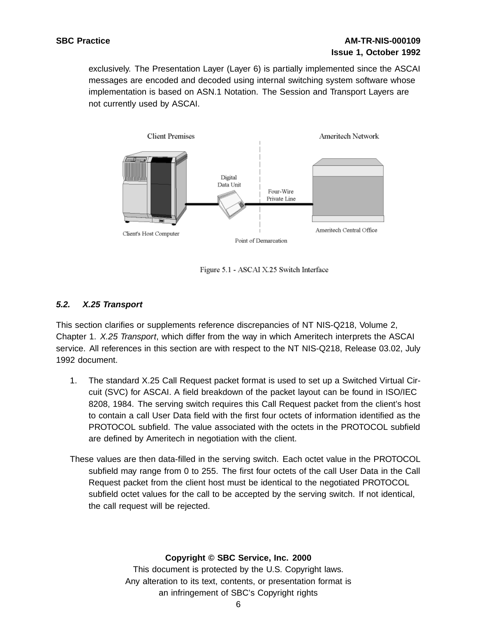exclusively. The Presentation Layer (Layer 6) is partially implemented since the ASCAI messages are encoded and decoded using internal switching system software whose implementation is based on ASN.1 Notation. The Session and Transport Layers are not currently used by ASCAI.



Figure 5.1 - ASCAI X.25 Switch Interface

# **5.2. X.25 Transport**

This section clarifies or supplements reference discrepancies of NT NIS-Q218, Volume 2, Chapter 1. X.25 Transport, which differ from the way in which Ameritech interprets the ASCAI service. All references in this section are with respect to the NT NIS-Q218, Release 03.02, July 1992 document.

- 1. The standard X.25 Call Request packet format is used to set up a Switched Virtual Circuit (SVC) for ASCAI. A field breakdown of the packet layout can be found in ISO/IEC 8208, 1984. The serving switch requires this Call Request packet from the client's host to contain a call User Data field with the first four octets of information identified as the PROTOCOL subfield. The value associated with the octets in the PROTOCOL subfield are defined by Ameritech in negotiation with the client.
- These values are then data-filled in the serving switch. Each octet value in the PROTOCOL subfield may range from 0 to 255. The first four octets of the call User Data in the Call Request packet from the client host must be identical to the negotiated PROTOCOL subfield octet values for the call to be accepted by the serving switch. If not identical, the call request will be rejected.

# **Copyright © SBC Service, Inc. 2000**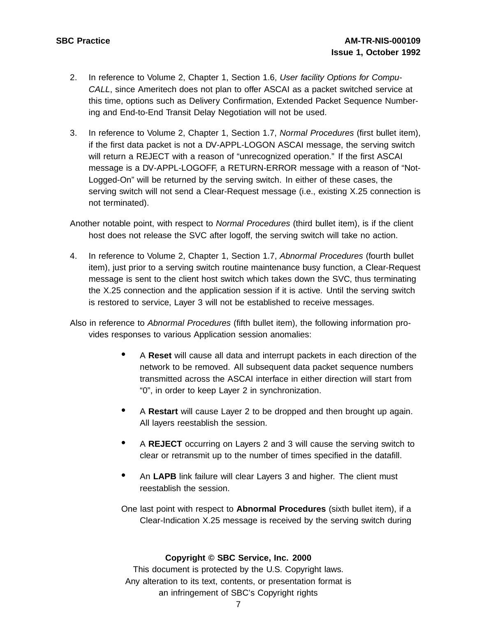- 2. In reference to Volume 2, Chapter 1, Section 1.6, User facility Options for Compu-CALL, since Ameritech does not plan to offer ASCAI as a packet switched service at this time, options such as Delivery Confirmation, Extended Packet Sequence Numbering and End-to-End Transit Delay Negotiation will not be used.
- 3. In reference to Volume 2, Chapter 1, Section 1.7, Normal Procedures (first bullet item), if the first data packet is not a DV-APPL-LOGON ASCAI message, the serving switch will return a REJECT with a reason of "unrecognized operation." If the first ASCAI message is a DV-APPL-LOGOFF, a RETURN-ERROR message with a reason of "Not-Logged-On" will be returned by the serving switch. In either of these cases, the serving switch will not send a Clear-Request message (i.e., existing X.25 connection is not terminated).
- Another notable point, with respect to *Normal Procedures* (third bullet item), is if the client host does not release the SVC after logoff, the serving switch will take no action.
- 4. In reference to Volume 2, Chapter 1, Section 1.7, Abnormal Procedures (fourth bullet item), just prior to a serving switch routine maintenance busy function, a Clear-Request message is sent to the client host switch which takes down the SVC, thus terminating the X.25 connection and the application session if it is active. Until the serving switch is restored to service, Layer 3 will not be established to receive messages.
- Also in reference to Abnormal Procedures (fifth bullet item), the following information provides responses to various Application session anomalies:
	- <sup>A</sup> **Reset** will cause all data and interrupt packets in each direction of the network to be removed. All subsequent data packet sequence numbers transmitted across the ASCAI interface in either direction will start from "0", in order to keep Layer 2 in synchronization.
	- <sup>A</sup> **Restart** will cause Layer <sup>2</sup> to be dropped and then brought up again. All layers reestablish the session.
	- <sup>A</sup> **REJECT** occurring on Layers <sup>2</sup> and <sup>3</sup> will cause the serving switch to clear or retransmit up to the number of times specified in the datafill.
	- An **LAPB** link failure will clear Layers <sup>3</sup> and higher. The client must reestablish the session.
	- One last point with respect to **Abnormal Procedures** (sixth bullet item), if a Clear-Indication X.25 message is received by the serving switch during

#### **Copyright © SBC Service, Inc. 2000**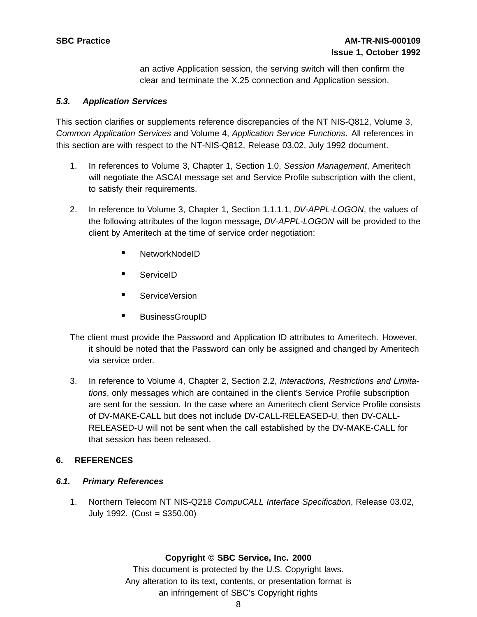an active Application session, the serving switch will then confirm the clear and terminate the X.25 connection and Application session.

#### **5.3. Application Services**

This section clarifies or supplements reference discrepancies of the NT NIS-Q812, Volume 3, Common Application Services and Volume 4, Application Service Functions. All references in this section are with respect to the NT-NIS-Q812, Release 03.02, July 1992 document.

- 1. In references to Volume 3, Chapter 1, Section 1.0, Session Management, Ameritech will negotiate the ASCAI message set and Service Profile subscription with the client, to satisfy their requirements.
- 2. In reference to Volume 3, Chapter 1, Section 1.1.1.1, DV-APPL-LOGON, the values of the following attributes of the logon message, DV-APPL-LOGON will be provided to the client by Ameritech at the time of service order negotiation:
	- NetworkNodeID
	- ServiceID
	- ServiceVersion
	- BusinessGroupID

The client must provide the Password and Application ID attributes to Ameritech. However, it should be noted that the Password can only be assigned and changed by Ameritech via service order.

3. In reference to Volume 4, Chapter 2, Section 2.2, Interactions, Restrictions and Limitations, only messages which are contained in the client's Service Profile subscription are sent for the session. In the case where an Ameritech client Service Profile consists of DV-MAKE-CALL but does not include DV-CALL-RELEASED-U, then DV-CALL-RELEASED-U will not be sent when the call established by the DV-MAKE-CALL for that session has been released.

#### **6. REFERENCES**

#### **6.1. Primary References**

1. Northern Telecom NT NIS-Q218 CompuCALL Interface Specification, Release 03.02, July 1992. (Cost = \$350.00)

#### **Copyright © SBC Service, Inc. 2000**